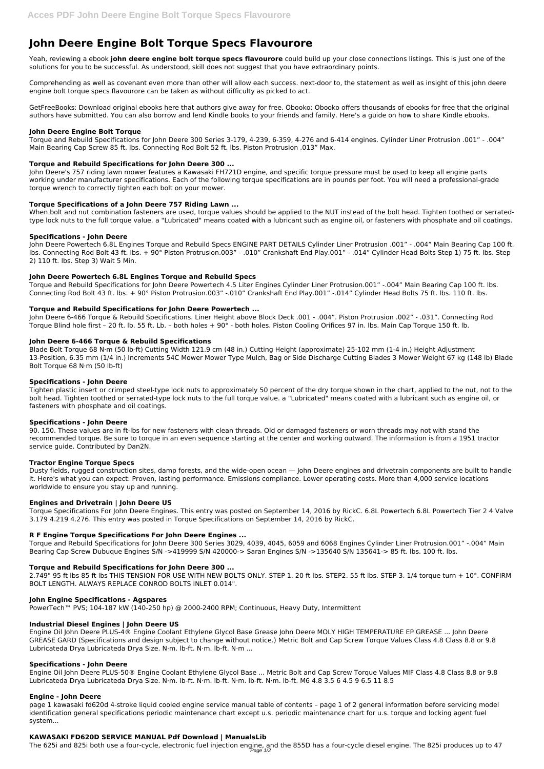# **John Deere Engine Bolt Torque Specs Flavourore**

Yeah, reviewing a ebook **john deere engine bolt torque specs flavourore** could build up your close connections listings. This is just one of the solutions for you to be successful. As understood, skill does not suggest that you have extraordinary points.

Comprehending as well as covenant even more than other will allow each success. next-door to, the statement as well as insight of this john deere engine bolt torque specs flavourore can be taken as without difficulty as picked to act.

GetFreeBooks: Download original ebooks here that authors give away for free. Obooko: Obooko offers thousands of ebooks for free that the original authors have submitted. You can also borrow and lend Kindle books to your friends and family. Here's a guide on how to share Kindle ebooks.

### **John Deere Engine Bolt Torque**

When bolt and nut combination fasteners are used, torque values should be applied to the NUT instead of the bolt head. Tighten toothed or serratedtype lock nuts to the full torque value. a "Lubricated" means coated with a lubricant such as engine oil, or fasteners with phosphate and oil coatings.

Torque and Rebuild Specifications for John Deere 300 Series 3-179, 4-239, 6-359, 4-276 and 6-414 engines. Cylinder Liner Protrusion .001" - .004" Main Bearing Cap Screw 85 ft. lbs. Connecting Rod Bolt 52 ft. lbs. Piston Protrusion .013" Max.

## **Torque and Rebuild Specifications for John Deere 300 ...**

John Deere's 757 riding lawn mower features a Kawasaki FH721D engine, and specific torque pressure must be used to keep all engine parts working under manufacturer specifications. Each of the following torque specifications are in pounds per foot. You will need a professional-grade torque wrench to correctly tighten each bolt on your mower.

## **Torque Specifications of a John Deere 757 Riding Lawn ...**

## **Specifications - John Deere**

John Deere Powertech 6.8L Engines Torque and Rebuild Specs ENGINE PART DETAILS Cylinder Liner Protrusion .001" - .004" Main Bearing Cap 100 ft. lbs. Connecting Rod Bolt 43 ft. lbs. + 90° Piston Protrusion.003" - .010" Crankshaft End Play.001" - .014" Cylinder Head Bolts Step 1) 75 ft. lbs. Step 2) 110 ft. lbs. Step 3) Wait 5 Min.

#### **John Deere Powertech 6.8L Engines Torque and Rebuild Specs**

Torque and Rebuild Specifications for John Deere Powertech 4.5 Liter Engines Cylinder Liner Protrusion.001" -.004" Main Bearing Cap 100 ft. lbs. Connecting Rod Bolt 43 ft. lbs. + 90° Piston Protrusion.003" -.010" Crankshaft End Play.001" -.014" Cylinder Head Bolts 75 ft. lbs. 110 ft. lbs.

## **Torque and Rebuild Specifications for John Deere Powertech ...**

John Deere 6-466 Torque & Rebuild Specifications. Liner Height above Block Deck .001 - .004". Piston Protrusion .002" - .031". Connecting Rod Torque Blind hole first – 20 ft. lb. 55 ft. Lb. – both holes + 90° - both holes. Piston Cooling Orifices 97 in. lbs. Main Cap Torque 150 ft. lb.

## **John Deere 6-466 Torque & Rebuild Specifications**

Blade Bolt Torque 68 N·m (50 lb-ft) Cutting Width 121.9 cm (48 in.) Cutting Height (approximate) 25-102 mm (1-4 in.) Height Adjustment 13-Position, 6.35 mm (1/4 in.) Increments 54C Mower Mower Type Mulch, Bag or Side Discharge Cutting Blades 3 Mower Weight 67 kg (148 lb) Blade Bolt Torque 68 N·m (50 lb-ft)

#### **Specifications - John Deere**

Tighten plastic insert or crimped steel-type lock nuts to approximately 50 percent of the dry torque shown in the chart, applied to the nut, not to the bolt head. Tighten toothed or serrated-type lock nuts to the full torque value. a "Lubricated" means coated with a lubricant such as engine oil, or fasteners with phosphate and oil coatings.

#### **Specifications - John Deere**

90. 150. These values are in ft-lbs for new fasteners with clean threads. Old or damaged fasteners or worn threads may not with stand the recommended torque. Be sure to torque in an even sequence starting at the center and working outward. The information is from a 1951 tractor service guide. Contributed by Dan2N.

## **Tractor Engine Torque Specs**

Dusty fields, rugged construction sites, damp forests, and the wide-open ocean — John Deere engines and drivetrain components are built to handle it. Here's what you can expect: Proven, lasting performance. Emissions compliance. Lower operating costs. More than 4,000 service locations worldwide to ensure you stay up and running.

## **Engines and Drivetrain | John Deere US**

Torque Specifications For John Deere Engines. This entry was posted on September 14, 2016 by RickC. 6.8L Powertech 6.8L Powertech Tier 2 4 Valve 3.179 4.219 4.276. This entry was posted in Torque Specifications on September 14, 2016 by RickC.

## **R F Engine Torque Specifications For John Deere Engines ...**

Torque and Rebuild Specifications for John Deere 300 Series 3029, 4039, 4045, 6059 and 6068 Engines Cylinder Liner Protrusion.001" -.004" Main Bearing Cap Screw Dubuque Engines S/N ->419999 S/N 420000-> Saran Engines S/N ->135640 S/N 135641-> 85 ft. lbs. 100 ft. lbs.

#### **Torque and Rebuild Specifications for John Deere 300 ...**

2.749" 95 ft lbs 85 ft lbs THIS TENSION FOR USE WITH NEW BOLTS ONLY. STEP 1. 20 ft lbs. STEP2. 55 ft lbs. STEP 3. 1/4 torque turn + 10°. CONFIRM

#### BOLT LENGTH. ALWAYS REPLACE CONROD BOLTS INLET 0.014".

## **John Engine Specifications - Agspares**

PowerTech™ PVS; 104-187 kW (140-250 hp) @ 2000-2400 RPM; Continuous, Heavy Duty, Intermittent

#### **Industrial Diesel Engines | John Deere US**

Engine Oil John Deere PLUS-4® Engine Coolant Ethylene Glycol Base Grease John Deere MOLY HIGH TEMPERATURE EP GREASE ... John Deere GREASE GARD (Specifications and design subject to change without notice.) Metric Bolt and Cap Screw Torque Values Class 4.8 Class 8.8 or 9.8 Lubricateda Drya Lubricateda Drya Size. N·m. lb-ft. N·m. lb-ft. N·m ...

#### **Specifications - John Deere**

Engine Oil John Deere PLUS-50® Engine Coolant Ethylene Glycol Base ... Metric Bolt and Cap Screw Torque Values MIF Class 4.8 Class 8.8 or 9.8 Lubricateda Drya Lubricateda Drya Size. N·m. lb-ft. N·m. lb-ft. N·m. lb-ft. N·m. lb-ft. M6 4.8 3.5 6 4.5 9 6.5 11 8.5

#### **Engine - John Deere**

page 1 kawasaki fd620d 4-stroke liquid cooled engine service manual table of contents – page 1 of 2 general information before servicing model identification general specifications periodic maintenance chart except u.s. periodic maintenance chart for u.s. torque and locking agent fuel system...

#### **KAWASAKI FD620D SERVICE MANUAL Pdf Download | ManualsLib**

The 625i and 825i both use a four-cycle, electronic fuel injection engine, and the 855D has a four-cycle diesel engine. The 825i produces up to 47 Page 1/2